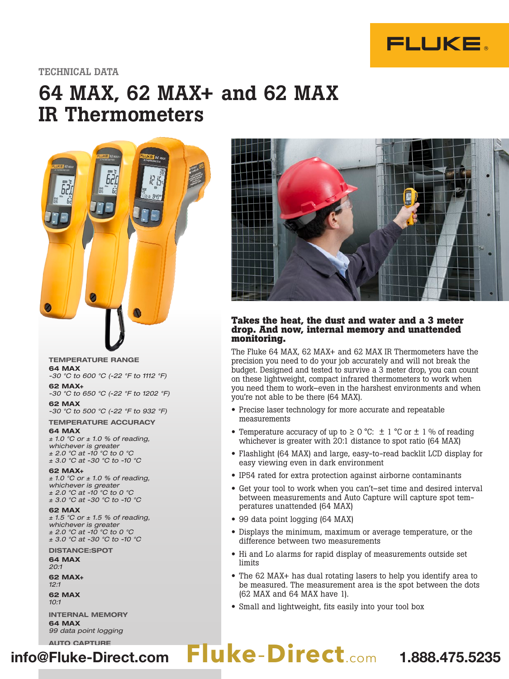

## TECHNICAL DATA

# 64 MAX, 62 MAX+ and 62 MAX IR Thermometers



#### TEMPERATURE RANGE 64 MAX

-30 °C to 600 °C (-22 °F to 1112 °F) 62 MAX+

-30 °C to 650 °C (-22 °F to 1202 °F)

62 MAX -30 °C to 500 °C (-22 °F to 932 °F)

TEMPERATURE ACCURACY 64 MAX

 $± 1.0 °C$  or  $± 1.0 %$  of reading, whichever is greater ± 2.0 °C at -10 °C to 0 °C ± 3.0 °C at -30 °C to -10 °C

#### 62 MAX+

 $± 1.0 °C$  or  $± 1.0 %$  of reading, whichever is greater  $\pm$  2.0 °C at -10 °C to 0 °C ± 3.0 °C at -30 °C to -10 °C

#### 62 MAX

 $± 1.5 °C$  or  $± 1.5 %$  of reading, whichever is greater ± 2.0 °C at -10 °C to 0 °C ± 3.0 °C at -30 °C to -10 °C

DISTANCE:SPOT 64 MAX

20:1

62 MAX+ 12:1

62 MAX 10:1

INTERNAL MEMORY 64 MAX 99 data point logging



## **Takes the heat, the dust and water and a 3 meter drop. And now, internal memory and unattended monitoring.**

The Fluke 64 MAX, 62 MAX+ and 62 MAX IR Thermometers have the precision you need to do your job accurately and will not break the budget. Designed and tested to survive a 3 meter drop, you can count on these lightweight, compact infrared thermometers to work when you need them to work–even in the harshest environments and when you're not able to be there (64 MAX).

- Precise laser technology for more accurate and repeatable measurements
- Temperature accuracy of up to  $\geq 0$  °C:  $\pm$  1 °C or  $\pm$  1 % of reading whichever is greater with 20:1 distance to spot ratio (64 MAX)
- Flashlight (64 MAX) and large, easy-to-read backlit LCD display for easy viewing even in dark environment
- IP54 rated for extra protection against airborne contaminants
- Get your tool to work when you can't–set time and desired interval between measurements and Auto Capture will capture spot temperatures unattended (64 MAX)
- 99 data point logging (64 MAX)
- Displays the minimum, maximum or average temperature, or the difference between two measurements
- Hi and Lo alarms for rapid display of measurements outside set limits
- The 62 MAX+ has dual rotating lasers to help you identify area to be measured. The measurement area is the spot between the dots (62 MAX and 64 MAX have 1).
- Small and lightweight, fits easily into your tool box